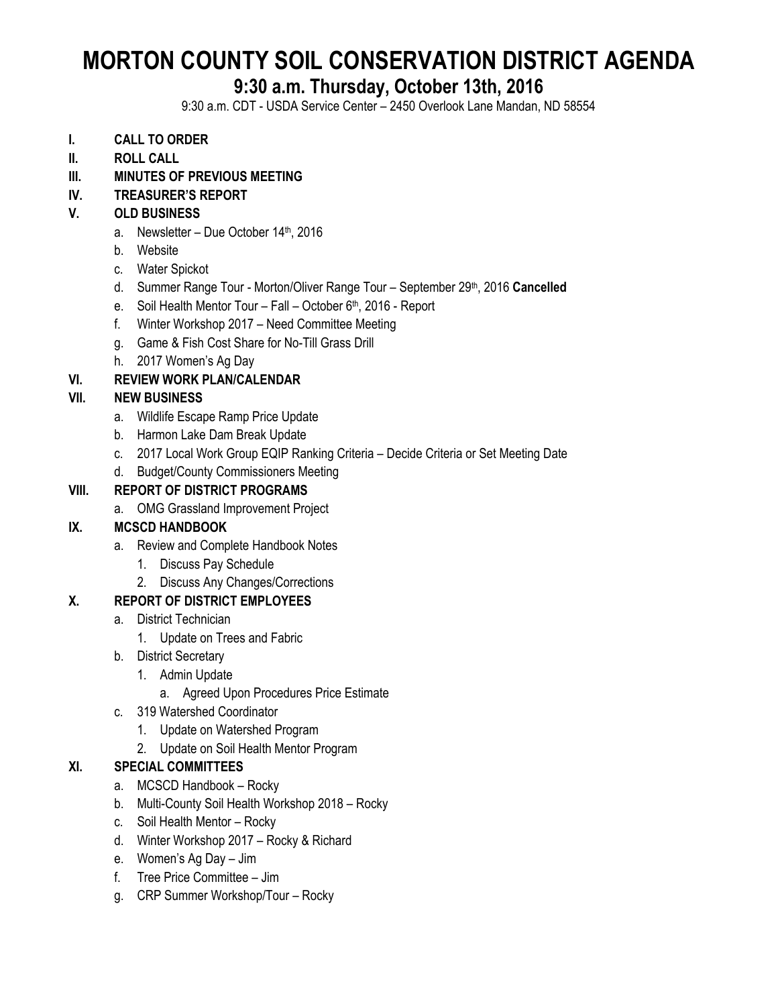# **MORTON COUNTY SOIL CONSERVATION DISTRICT AGENDA**

# **9:30 a.m. Thursday, October 13th, 2016**

9:30 a.m. CDT - USDA Service Center – 2450 Overlook Lane Mandan, ND 58554

- **I. CALL TO ORDER**
- **II. ROLL CALL**
- **III. MINUTES OF PREVIOUS MEETING**
- **IV. TREASURER'S REPORT**

#### **V. OLD BUSINESS**

- a. Newsletter Due October 14<sup>th</sup>, 2016
- b. Website
- c. Water Spickot
- d. Summer Range Tour Morton/Oliver Range Tour September 29<sup>th</sup>, 2016 Cancelled
- e. Soil Health Mentor Tour Fall October 6<sup>th</sup>, 2016 Report
- f. Winter Workshop 2017 Need Committee Meeting
- g. Game & Fish Cost Share for No-Till Grass Drill
- h. 2017 Women's Ag Day

#### **VI. REVIEW WORK PLAN/CALENDAR**

#### **VII. NEW BUSINESS**

- a. Wildlife Escape Ramp Price Update
- b. Harmon Lake Dam Break Update
- c. 2017 Local Work Group EQIP Ranking Criteria Decide Criteria or Set Meeting Date
- d. Budget/County Commissioners Meeting

#### **VIII. REPORT OF DISTRICT PROGRAMS**

a. OMG Grassland Improvement Project

#### **IX. MCSCD HANDBOOK**

- a. Review and Complete Handbook Notes
	- 1. Discuss Pay Schedule
	- 2. Discuss Any Changes/Corrections

#### **X. REPORT OF DISTRICT EMPLOYEES**

- a. District Technician
	- 1. Update on Trees and Fabric
- b. District Secretary
	- 1. Admin Update
		- a. Agreed Upon Procedures Price Estimate
- c. 319 Watershed Coordinator
	- 1. Update on Watershed Program
	- 2. Update on Soil Health Mentor Program

#### **XI. SPECIAL COMMITTEES**

- a. MCSCD Handbook Rocky
- b. Multi-County Soil Health Workshop 2018 Rocky
- c. Soil Health Mentor Rocky
- d. Winter Workshop 2017 Rocky & Richard
- e. Women's Ag Day Jim
- f. Tree Price Committee Jim
- g. CRP Summer Workshop/Tour Rocky